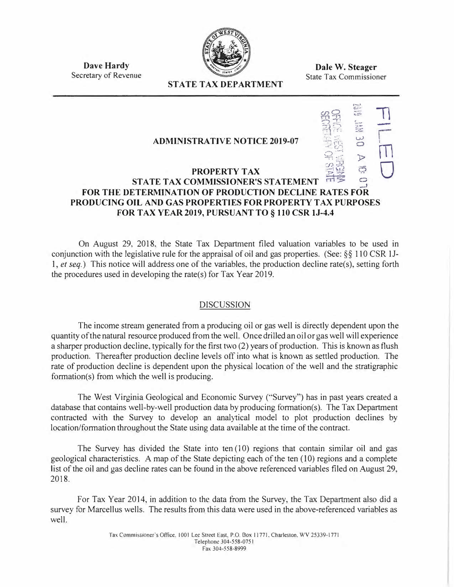

**Dale W. Steager**  State Tax Commissioner

 $\frac{933}{22}$  ;...

 $\equiv$   $\frac{1}{2}$ 

 $\equiv$ 

rn

**Dave Hardy**  Secretary of Revenue

## **ST ATE TAX DEPARTMENT**

# **ADMINISTRATIVE NOTICE 2019-07**  $\frac{100}{20}$  **b**  $\frac{100}{20}$  **property tax STATE TAX COMMISSIONER'S STATEMENT STATE TAX COMMISSIONER'S STATEMENT**  $\overrightarrow{1}$  $\overrightarrow{5}$ <br>**FOR THE DETERMINATION OF PRODUCTION DECLINE RATES FOR** 0 **PRODUCING OIL AND GAS PROPERTIES FOR PROPERTY TAX PURPOSES FOR TAX YEAR 2019, PURSUANT TO§ 110 CSR lJ-4.4**

On August 29, 2018. the State Tax Department filed valuation variables to be used in conjunction with the legislative rule for the appraisal of oil and gas properties. (See: §§ 110 CSR lJ-1, *et seq.)* This notice will address one of the variables, the production decline rate(s), setting forth the procedures used in developing the rate(s) for Tax Year 2019.

## DISCUSSION

The income stream generated from a producing oil or gas well is directly dependent upon the quantity of the natural resource produced from the well. Once drilled an oil or gas well will experience a sharper production decline, typically for the first two (2) years of production. This is known as flush production. Thereafter production decline levels off into what is known as settled production. The rate of production decline is dependent upon the physical location of the well and the stratigraphic formation(s) from which the well is producing.

The West Virginia Geological and Economic Survey ("Survey") has in past years created a database that contains well-by-well production data by producing formation(s). The Tax Department contracted with the Survey to develop an analytical model to plot production declines by location/formation throughout the State using data available at the time of the contract.

The Survey has divided the State into ten (10) regions that contain similar oil and gas geological characteristics. A map of the State depicting each of the ten (10) regions and a complete list of the oil and gas decline rates can be found in the above referenced variables filed on August 29, 2018.

For Tax Year 2014, in addition to the data from the Survey, the Tax Department also did a survey for Marcellus wells. The results from this data were used in the above-referenced variables as well.